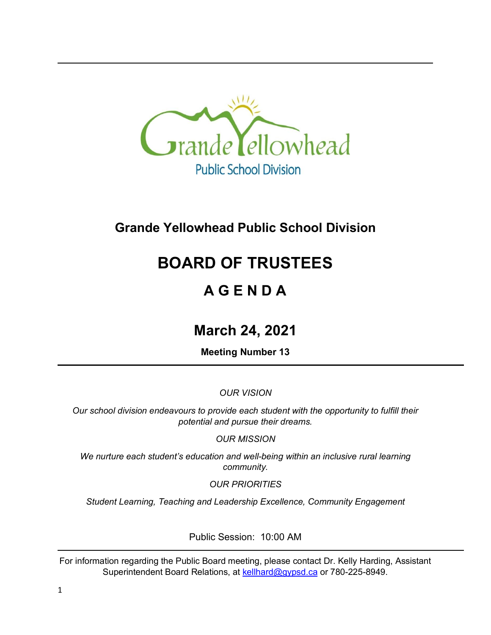

# **Grande Yellowhead Public School Division**

# **BOARD OF TRUSTEES**

# **A G E N D A**

# **March 24, 2021**

**Meeting Number 13**

*OUR VISION*

*Our school division endeavours to provide each student with the opportunity to fulfill their potential and pursue their dreams.*

*OUR MISSION*

*We nurture each student's education and well-being within an inclusive rural learning community.*

*OUR PRIORITIES*

*Student Learning, Teaching and Leadership Excellence, Community Engagement*

Public Session: 10:00 AM

For information regarding the Public Board meeting, please contact Dr. Kelly Harding, Assistant Superintendent Board Relations, at [kellhard@gypsd.ca](mailto:kellhard@gypsd.ca) or 780-225-8949.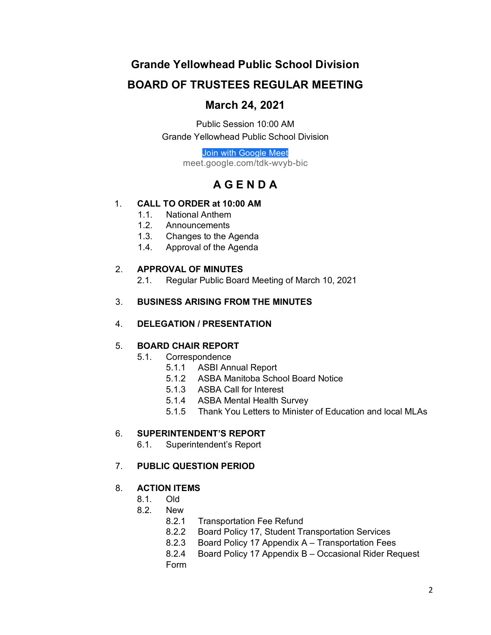# **Grande Yellowhead Public School Division**

## **BOARD OF TRUSTEES REGULAR MEETING**

## **March 24, 2021**

Public Session 10:00 AM Grande Yellowhead Public School Division

> [Join with Google Meet](https://meet.google.com/tdk-wvyb-bic?authuser=0&hs=122) meet.google.com/tdk-wvyb-bic

## **A G E N D A**

### 1. **CALL TO ORDER at 10:00 AM**

- 1.1. National Anthem
- 1.2. Announcements
- 1.3. Changes to the Agenda
- 1.4. Approval of the Agenda

### 2. **APPROVAL OF MINUTES**

2.1. Regular Public Board Meeting of March 10, 2021

### 3. **BUSINESS ARISING FROM THE MINUTES**

#### 4. **DELEGATION / PRESENTATION**

### 5. **BOARD CHAIR REPORT**

- 5.1. Correspondence
	- 5.1.1 ASBI Annual Report
	- 5.1.2 ASBA Manitoba School Board Notice
	- 5.1.3 ASBA Call for Interest
	- 5.1.4 ASBA Mental Health Survey
	- 5.1.5 Thank You Letters to Minister of Education and local MLAs

### 6. **SUPERINTENDENT'S REPORT**

6.1. Superintendent's Report

### 7. **PUBLIC QUESTION PERIOD**

### 8. **ACTION ITEMS**

- 8.1. Old
- 8.2. New
	- 8.2.1 Transportation Fee Refund
	- 8.2.2 Board Policy 17, Student Transportation Services
	- 8.2.3 Board Policy 17 Appendix A Transportation Fees
	- 8.2.4 Board Policy 17 Appendix B Occasional Rider Request Form